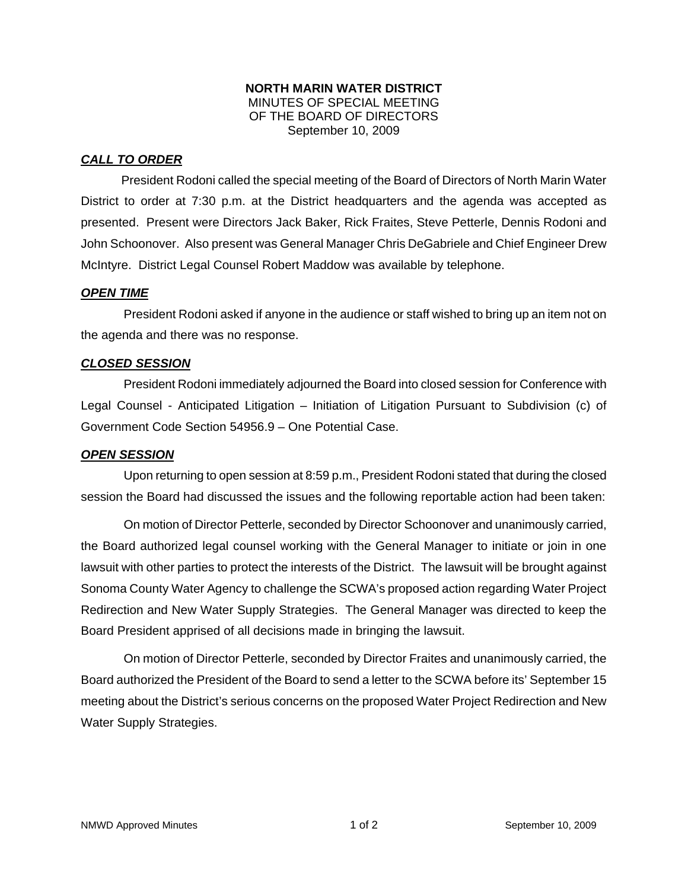#### **NORTH MARIN WATER DISTRICT**  MINUTES OF SPECIAL MEETING OF THE BOARD OF DIRECTORS September 10, 2009

# *CALL TO ORDER*

President Rodoni called the special meeting of the Board of Directors of North Marin Water District to order at 7:30 p.m. at the District headquarters and the agenda was accepted as presented. Present were Directors Jack Baker, Rick Fraites, Steve Petterle, Dennis Rodoni and John Schoonover. Also present was General Manager Chris DeGabriele and Chief Engineer Drew McIntyre. District Legal Counsel Robert Maddow was available by telephone.

#### *OPEN TIME*

President Rodoni asked if anyone in the audience or staff wished to bring up an item not on the agenda and there was no response.

## *CLOSED SESSION*

President Rodoni immediately adjourned the Board into closed session for Conference with Legal Counsel - Anticipated Litigation – Initiation of Litigation Pursuant to Subdivision (c) of Government Code Section 54956.9 – One Potential Case.

## *OPEN SESSION*

Upon returning to open session at 8:59 p.m., President Rodoni stated that during the closed session the Board had discussed the issues and the following reportable action had been taken:

On motion of Director Petterle, seconded by Director Schoonover and unanimously carried, the Board authorized legal counsel working with the General Manager to initiate or join in one lawsuit with other parties to protect the interests of the District. The lawsuit will be brought against Sonoma County Water Agency to challenge the SCWA's proposed action regarding Water Project Redirection and New Water Supply Strategies. The General Manager was directed to keep the Board President apprised of all decisions made in bringing the lawsuit.

On motion of Director Petterle, seconded by Director Fraites and unanimously carried, the Board authorized the President of the Board to send a letter to the SCWA before its' September 15 meeting about the District's serious concerns on the proposed Water Project Redirection and New Water Supply Strategies.